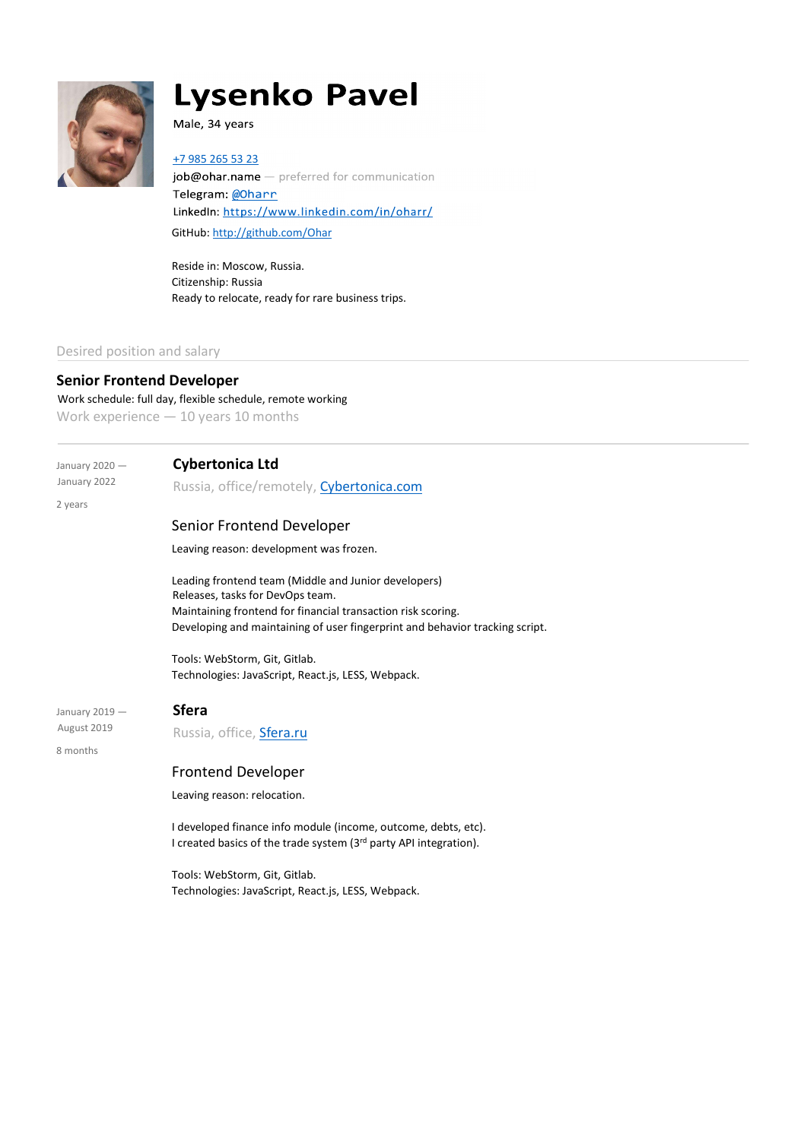

# **Lysenko Pavel**

Male, 34 years

7 985 265 53 23

job@ohar.name - preferred for communication Telegram: @Oharr LinkedIn: https://www.linkedin.com/in/oharr/ GitHub: http://github.com/Ohar

Reside in: Moscow, Russia. Citizenship: Russia Ready to relocate, ready for rare business trips.

#### Desired position and salary

## Senior Frontend Developer

Work schedule: full day, flexible schedule, remote working Work experience — 10 years 10 months

2 years

### January 2020 - Cybertonica Ltd

January 2022 Russia, office/remotely, Cybertonica.com

### Senior Frontend Developer

Leaving reason: development was frozen.

Leading frontend team (Middle and Junior developers) Releases, tasks for DevOps team. Maintaining frontend for financial transaction risk scoring. Developing and maintaining of user fingerprint and behavior tracking script.

Tools: WebStorm, Git, Gitlab. Technologies: JavaScript, React.js, LESS, Webpack.

January 2019  $-$  Sfera

August 2019 Russia, office, Sfera.ru

8 months

### Frontend Developer

Leaving reason: relocation.

I developed finance info module (income, outcome, debts, etc). I created basics of the trade system (3rd party API integration).

Tools: WebStorm, Git, Gitlab. Technologies: JavaScript, React.js, LESS, Webpack.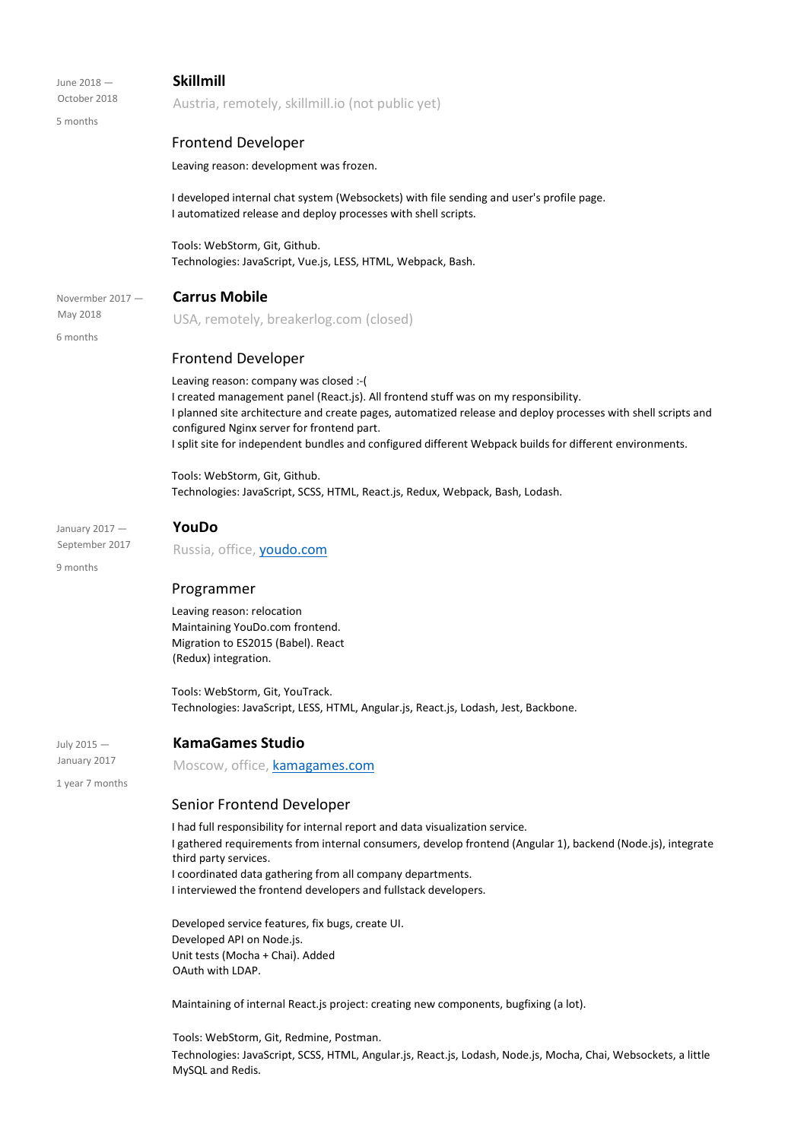| June 2018 -                     | <b>Skillmill</b>                                                                                                                                                                                                                                                                                                                                                                                          |
|---------------------------------|-----------------------------------------------------------------------------------------------------------------------------------------------------------------------------------------------------------------------------------------------------------------------------------------------------------------------------------------------------------------------------------------------------------|
| October 2018                    | Austria, remotely, skillmill.io (not public yet)                                                                                                                                                                                                                                                                                                                                                          |
| 5 months                        |                                                                                                                                                                                                                                                                                                                                                                                                           |
|                                 | <b>Frontend Developer</b>                                                                                                                                                                                                                                                                                                                                                                                 |
|                                 | Leaving reason: development was frozen.                                                                                                                                                                                                                                                                                                                                                                   |
|                                 | I developed internal chat system (Websockets) with file sending and user's profile page.<br>I automatized release and deploy processes with shell scripts.                                                                                                                                                                                                                                                |
|                                 | Tools: WebStorm, Git, Github.<br>Technologies: JavaScript, Vue.js, LESS, HTML, Webpack, Bash.                                                                                                                                                                                                                                                                                                             |
| Novermber $2017 -$              | <b>Carrus Mobile</b>                                                                                                                                                                                                                                                                                                                                                                                      |
| May 2018<br>6 months            | USA, remotely, breakerlog.com (closed)                                                                                                                                                                                                                                                                                                                                                                    |
|                                 | <b>Frontend Developer</b>                                                                                                                                                                                                                                                                                                                                                                                 |
|                                 | Leaving reason: company was closed :- (<br>I created management panel (React.js). All frontend stuff was on my responsibility.<br>I planned site architecture and create pages, automatized release and deploy processes with shell scripts and<br>configured Nginx server for frontend part.<br>I split site for independent bundles and configured different Webpack builds for different environments. |
|                                 | Tools: WebStorm, Git, Github.<br>Technologies: JavaScript, SCSS, HTML, React.js, Redux, Webpack, Bash, Lodash.                                                                                                                                                                                                                                                                                            |
| January 2017 -                  | YouDo                                                                                                                                                                                                                                                                                                                                                                                                     |
| September 2017                  | Russia, office, youdo.com                                                                                                                                                                                                                                                                                                                                                                                 |
| 9 months                        |                                                                                                                                                                                                                                                                                                                                                                                                           |
|                                 | Programmer                                                                                                                                                                                                                                                                                                                                                                                                |
|                                 | Leaving reason: relocation<br>Maintaining YouDo.com frontend.<br>Migration to ES2015 (Babel). React<br>(Redux) integration.                                                                                                                                                                                                                                                                               |
|                                 | Tools: WebStorm, Git, YouTrack.<br>Technologies: JavaScript, LESS, HTML, Angular.js, React.js, Lodash, Jest, Backbone.                                                                                                                                                                                                                                                                                    |
| July 2015 -                     | <b>KamaGames Studio</b>                                                                                                                                                                                                                                                                                                                                                                                   |
| January 2017<br>1 year 7 months | Moscow, office, kamagames.com                                                                                                                                                                                                                                                                                                                                                                             |
|                                 | Senior Frontend Developer                                                                                                                                                                                                                                                                                                                                                                                 |
|                                 | I had full responsibility for internal report and data visualization service.<br>I gathered requirements from internal consumers, develop frontend (Angular 1), backend (Node.js), integrate<br>third party services.<br>I coordinated data gathering from all company departments.<br>I interviewed the frontend developers and fullstack developers.                                                    |
|                                 | Developed service features, fix bugs, create UI.<br>Developed API on Node.js.<br>Unit tests (Mocha + Chai). Added<br>OAuth with LDAP.                                                                                                                                                                                                                                                                     |
|                                 | Maintaining of internal React.js project: creating new components, bugfixing (a lot).                                                                                                                                                                                                                                                                                                                     |

Tools: WebStorm, Git, Redmine, Postman. Technologies: JavaScript, SCSS, HTML, Angular.js, React.js, Lodash, Node.js, Mocha, Chai, Websockets, a little MySQL and Redis.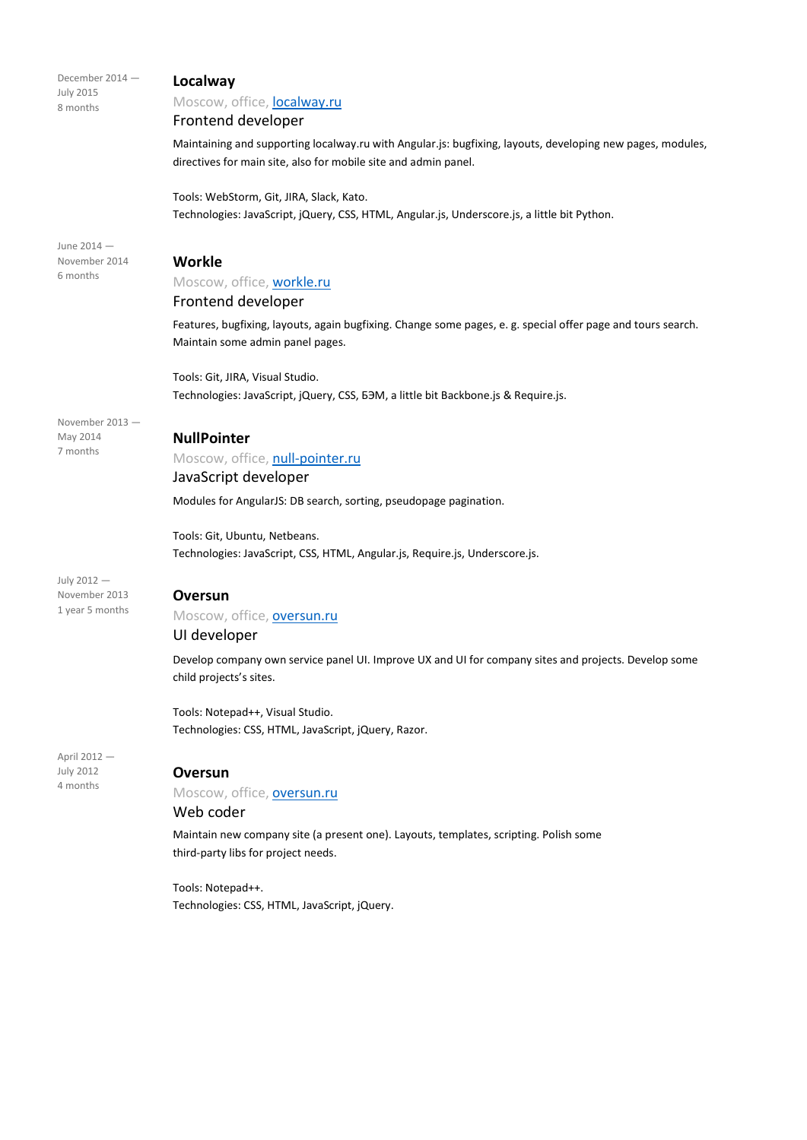| December 2014 -<br><b>July 2015</b><br>8 months | Localway<br>Moscow, office, localway.ru<br>Frontend developer                                                                                                                 |
|-------------------------------------------------|-------------------------------------------------------------------------------------------------------------------------------------------------------------------------------|
|                                                 | Maintaining and supporting localway.ru with Angular.js: bugfixing, layouts, developing new pages, modules,<br>directives for main site, also for mobile site and admin panel. |
|                                                 | Tools: WebStorm, Git, JIRA, Slack, Kato.<br>Technologies: JavaScript, jQuery, CSS, HTML, Angular.js, Underscore.js, a little bit Python.                                      |
| June 2014 -<br>November 2014                    | Workle                                                                                                                                                                        |
| 6 months                                        |                                                                                                                                                                               |
|                                                 | Moscow, office, workle.ru<br>Frontend developer                                                                                                                               |
|                                                 | Features, bugfixing, layouts, again bugfixing. Change some pages, e. g. special offer page and tours search.<br>Maintain some admin panel pages.                              |
|                                                 | Tools: Git, JIRA, Visual Studio.                                                                                                                                              |
|                                                 | Technologies: JavaScript, jQuery, CSS, 63M, a little bit Backbone.js & Require.js.                                                                                            |
| November 2013-<br>May 2014                      | <b>NullPointer</b>                                                                                                                                                            |
| 7 months                                        | Moscow, office, null-pointer.ru                                                                                                                                               |
|                                                 | JavaScript developer                                                                                                                                                          |
|                                                 | Modules for AngularJS: DB search, sorting, pseudopage pagination.                                                                                                             |
|                                                 | Tools: Git, Ubuntu, Netbeans.                                                                                                                                                 |
|                                                 | Technologies: JavaScript, CSS, HTML, Angular.js, Require.js, Underscore.js.                                                                                                   |
| July 2012 -                                     |                                                                                                                                                                               |
| November 2013                                   | <b>Oversun</b>                                                                                                                                                                |
| 1 year 5 months                                 | Moscow, office, oversun.ru                                                                                                                                                    |
|                                                 | UI developer                                                                                                                                                                  |
|                                                 | Develop company own service panel UI. Improve UX and UI for company sites and projects. Develop some<br>child projects's sites.                                               |
|                                                 | Tools: Notepad++, Visual Studio.                                                                                                                                              |
|                                                 | Technologies: CSS, HTML, JavaScript, jQuery, Razor.                                                                                                                           |
| April 2012 -                                    |                                                                                                                                                                               |
| <b>July 2012</b><br>4 months                    | <b>Oversun</b>                                                                                                                                                                |
|                                                 | Moscow, office, oversun.ru                                                                                                                                                    |
|                                                 | Web coder                                                                                                                                                                     |
|                                                 | Maintain new company site (a present one). Layouts, templates, scripting. Polish some<br>third-party libs for project needs.                                                  |
|                                                 | Tools: Notepad++.                                                                                                                                                             |

Technologies: CSS, HTML, JavaScript, jQuery.